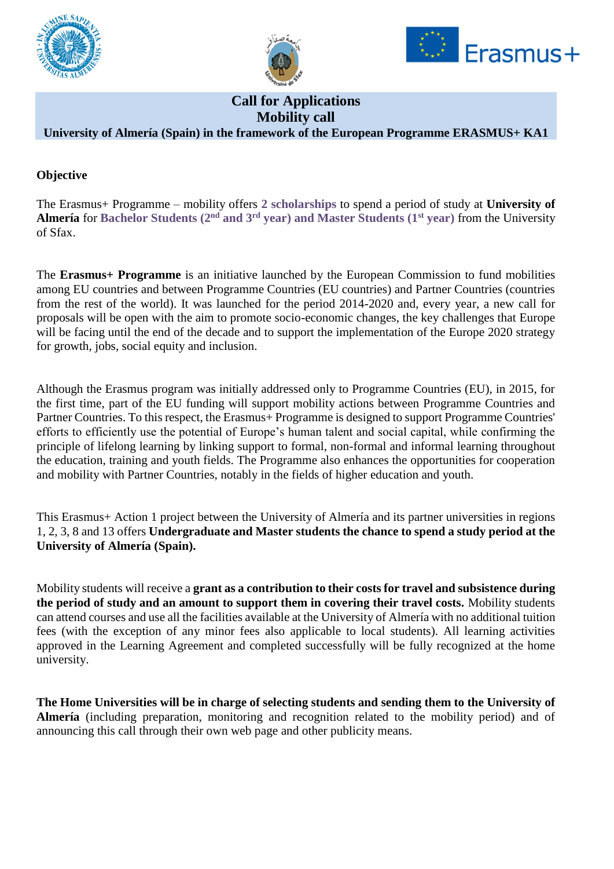





# **Call for Applications Mobility call**

## **University of Almería (Spain) in the framework of the European Programme ERASMUS+ KA1**

## **Objective**

The Erasmus+ Programme – mobility offers **2 scholarships** to spend a period of study at **University of Almería** for **Bachelor Students (2nd and 3rd year) and Master Students (1st year)** from the University of Sfax.

The **Erasmus+ Programme** is an initiative launched by the European Commission to fund mobilities among EU countries and between Programme Countries (EU countries) and Partner Countries (countries from the rest of the world). It was launched for the period 2014-2020 and, every year, a new call for proposals will be open with the aim to promote socio-economic changes, the key challenges that Europe will be facing until the end of the decade and to support the implementation of the Europe 2020 strategy for growth, jobs, social equity and inclusion.

Although the Erasmus program was initially addressed only to Programme Countries (EU), in 2015, for the first time, part of the EU funding will support mobility actions between Programme Countries and Partner Countries. To this respect, the Erasmus+ Programme is designed to support Programme Countries' efforts to efficiently use the potential of Europe's human talent and social capital, while confirming the principle of lifelong learning by linking support to formal, non-formal and informal learning throughout the education, training and youth fields. The Programme also enhances the opportunities for cooperation and mobility with Partner Countries, notably in the fields of higher education and youth.

This Erasmus+ Action 1 project between the University of Almería and its partner universities in regions 1, 2, 3, 8 and 13 offers **Undergraduate and Master students the chance to spend a study period at the University of Almería (Spain).** 

Mobility students will receive a **grant as a contribution to their costs for travel and subsistence during the period of study and an amount to support them in covering their travel costs.** Mobility students can attend courses and use all the facilities available at the University of Almería with no additional tuition fees (with the exception of any minor fees also applicable to local students). All learning activities approved in the Learning Agreement and completed successfully will be fully recognized at the home university.

**The Home Universities will be in charge of selecting students and sending them to the University of Almería** (including preparation, monitoring and recognition related to the mobility period) and of announcing this call through their own web page and other publicity means.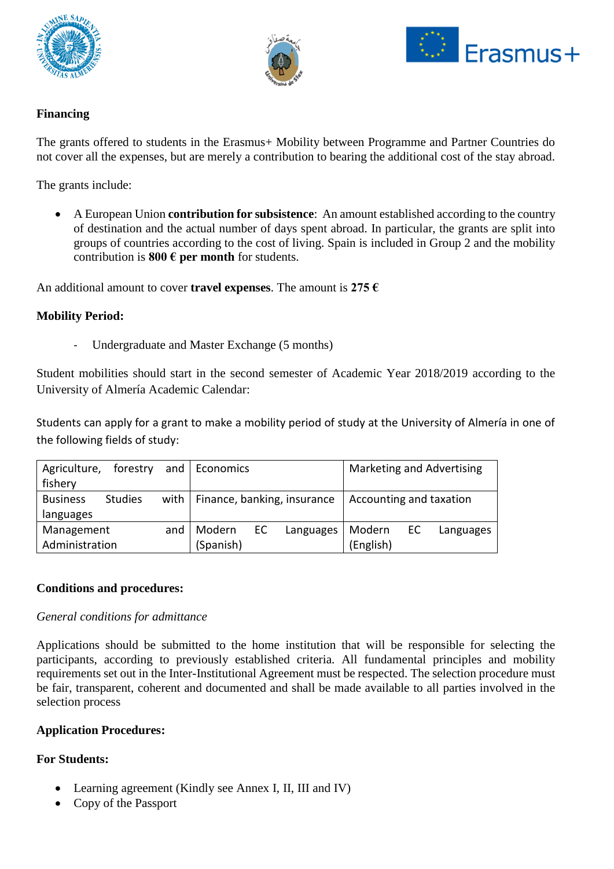





## **Financing**

The grants offered to students in the Erasmus+ Mobility between Programme and Partner Countries do not cover all the expenses, but are merely a contribution to bearing the additional cost of the stay abroad.

The grants include:

• A European Union **contribution for subsistence**: An amount established according to the country of destination and the actual number of days spent abroad. In particular, the grants are split into groups of countries according to the cost of living. Spain is included in Group 2 and the mobility contribution is **800 € per month** for students.

An additional amount to cover **travel expenses**. The amount is **275 €**

#### **Mobility Period:**

Undergraduate and Master Exchange (5 months)

Student mobilities should start in the second semester of Academic Year 2018/2019 according to the University of Almería Academic Calendar:

Students can apply for a grant to make a mobility period of study at the University of Almería in one of the following fields of study:

| Agriculture,      | forestry       |        | and Economics                      |           |        | <b>Marketing and Advertising</b> |           |  |
|-------------------|----------------|--------|------------------------------------|-----------|--------|----------------------------------|-----------|--|
| fishery           |                |        |                                    |           |        |                                  |           |  |
| <b>Business</b>   | <b>Studies</b> |        | with   Finance, banking, insurance |           |        | Accounting and taxation          |           |  |
| languages         |                |        |                                    |           |        |                                  |           |  |
| Management<br>and |                | Modern | EC.                                | Languages | Modern | EC.                              | Languages |  |
| Administration    |                |        | (Spanish)                          |           |        | (English)                        |           |  |

#### **Conditions and procedures:**

#### *General conditions for admittance*

Applications should be submitted to the home institution that will be responsible for selecting the participants, according to previously established criteria. All fundamental principles and mobility requirements set out in the Inter-Institutional Agreement must be respected. The selection procedure must be fair, transparent, coherent and documented and shall be made available to all parties involved in the selection process

#### **Application Procedures:**

### **For Students:**

- Learning agreement (Kindly see Annex I, II, III and IV)
- Copy of the Passport